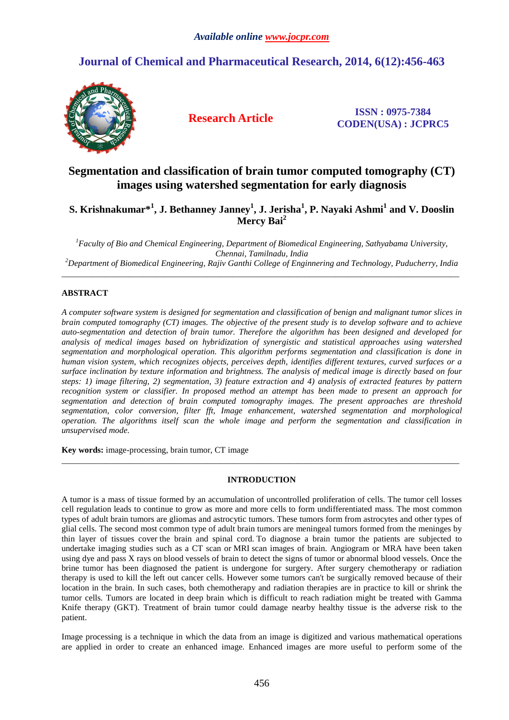# **Journal of Chemical and Pharmaceutical Research, 2014, 6(12):456-463**



**Research Article ISSN : 0975-7384 CODEN(USA) : JCPRC5**

# **Segmentation and classification of brain tumor computed tomography (CT) images using watershed segmentation for early diagnosis**

**S. Krishnakumar\*<sup>1</sup> , J. Bethanney Janney<sup>1</sup> , J. Jerisha<sup>1</sup> , P. Nayaki Ashmi<sup>1</sup> and V. Dooslin Mercy Bai<sup>2</sup>**

*<sup>1</sup>Faculty of Bio and Chemical Engineering, Department of Biomedical Engineering, Sathyabama University, Chennai, Tamilnadu, India* 

*<sup>2</sup>Department of Biomedical Engineering, Rajiv Ganthi College of Enginnering and Technology, Puducherry, India*  \_\_\_\_\_\_\_\_\_\_\_\_\_\_\_\_\_\_\_\_\_\_\_\_\_\_\_\_\_\_\_\_\_\_\_\_\_\_\_\_\_\_\_\_\_\_\_\_\_\_\_\_\_\_\_\_\_\_\_\_\_\_\_\_\_\_\_\_\_\_\_\_\_\_\_\_\_\_\_\_\_\_\_\_\_\_\_\_\_\_\_\_\_

# **ABSTRACT**

*A computer software system is designed for segmentation and classification of benign and malignant tumor slices in brain computed tomography (CT) images. The objective of the present study is to develop software and to achieve auto-segmentation and detection of brain tumor. Therefore the algorithm has been designed and developed for analysis of medical images based on hybridization of synergistic and statistical approaches using watershed segmentation and morphological operation. This algorithm performs segmentation and classification is done in human vision system, which recognizes objects, perceives depth, identifies different textures, curved surfaces or a surface inclination by texture information and brightness. The analysis of medical image is directly based on four steps: 1) image filtering, 2) segmentation, 3) feature extraction and 4) analysis of extracted features by pattern recognition system or classifier. In proposed method an attempt has been made to present an approach for segmentation and detection of brain computed tomography images. The present approaches are threshold segmentation, color conversion, filter fft, Image enhancement, watershed segmentation and morphological operation. The algorithms itself scan the whole image and perform the segmentation and classification in unsupervised mode.* 

**Key words:** image-processing, brain tumor, CT image

## **INTRODUCTION**

 $\overline{a}$  , and the contribution of the contribution of the contribution of the contribution of the contribution of the contribution of the contribution of the contribution of the contribution of the contribution of the co

A tumor is a mass of tissue formed by an accumulation of uncontrolled proliferation of cells. The tumor cell losses cell regulation leads to continue to grow as more and more cells to form undifferentiated mass. The most common types of adult brain tumors are gliomas and astrocytic tumors. These tumors form from astrocytes and other types of glial cells. The second most common type of adult brain tumors are meningeal tumors formed from the meninges by thin layer of tissues cover the brain and spinal cord. To diagnose a brain tumor the patients are subjected to undertake imaging studies such as a CT scan or MRI scan images of brain. Angiogram or MRA have been taken using dye and pass X rays on blood vessels of brain to detect the signs of tumor or abnormal blood vessels. Once the brine tumor has been diagnosed the patient is undergone for surgery. After surgery chemotherapy or radiation therapy is used to kill the left out cancer cells. However some tumors can't be surgically removed because of their location in the brain. In such cases, both chemotherapy and radiation therapies are in practice to kill or shrink the tumor cells. Tumors are located in deep brain which is difficult to reach radiation might be treated with Gamma Knife therapy (GKT). Treatment of brain tumor could damage nearby healthy tissue is the adverse risk to the patient.

Image processing is a technique in which the data from an image is digitized and various mathematical operations are applied in order to create an enhanced image. Enhanced images are more useful to perform some of the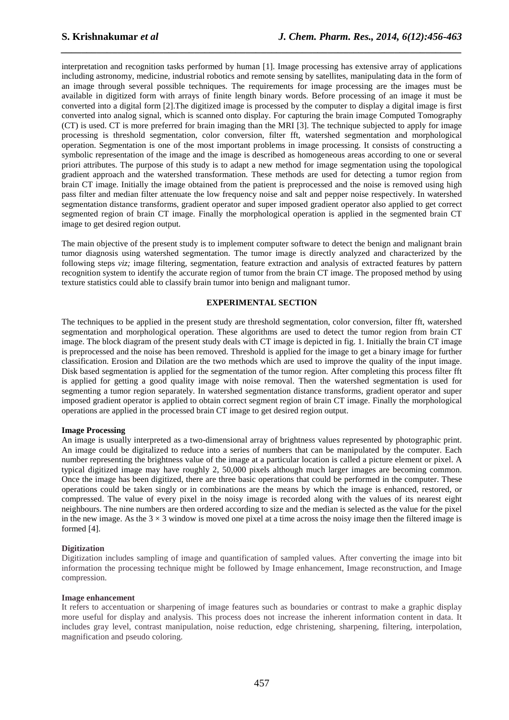interpretation and recognition tasks performed by human [1]. Image processing has extensive array of applications including astronomy, medicine, industrial robotics and remote sensing by satellites, manipulating data in the form of an image through several possible techniques. The requirements for image processing are the images must be available in digitized form with arrays of finite length binary words. Before processing of an image it must be converted into a digital form [2].The digitized image is processed by the computer to display a digital image is first converted into analog signal, which is scanned onto display. For capturing the brain image Computed Tomography (CT) is used. CT is more preferred for brain imaging than the MRI [3]. The technique subjected to apply for image processing is threshold segmentation, color conversion, filter fft, watershed segmentation and morphological operation. Segmentation is one of the most important problems in image processing. It consists of constructing a symbolic representation of the image and the image is described as homogeneous areas according to one or several priori attributes. The purpose of this study is to adapt a new method for image segmentation using the topological gradient approach and the watershed transformation. These methods are used for detecting a tumor region from brain CT image. Initially the image obtained from the patient is preprocessed and the noise is removed using high pass filter and median filter attenuate the low frequency noise and salt and pepper noise respectively. In watershed segmentation distance transforms, gradient operator and super imposed gradient operator also applied to get correct segmented region of brain CT image. Finally the morphological operation is applied in the segmented brain CT image to get desired region output.

*\_\_\_\_\_\_\_\_\_\_\_\_\_\_\_\_\_\_\_\_\_\_\_\_\_\_\_\_\_\_\_\_\_\_\_\_\_\_\_\_\_\_\_\_\_\_\_\_\_\_\_\_\_\_\_\_\_\_\_\_\_\_\_\_\_\_\_\_\_\_\_\_\_\_\_\_\_\_*

The main objective of the present study is to implement computer software to detect the benign and malignant brain tumor diagnosis using watershed segmentation. The tumor image is directly analyzed and characterized by the following steps *viz;* image filtering, segmentation, feature extraction and analysis of extracted features by pattern recognition system to identify the accurate region of tumor from the brain CT image. The proposed method by using texture statistics could able to classify brain tumor into benign and malignant tumor.

## **EXPERIMENTAL SECTION**

The techniques to be applied in the present study are threshold segmentation, color conversion, filter fft, watershed segmentation and morphological operation. These algorithms are used to detect the tumor region from brain CT image. The block diagram of the present study deals with CT image is depicted in fig. 1. Initially the brain CT image is preprocessed and the noise has been removed. Threshold is applied for the image to get a binary image for further classification. Erosion and Dilation are the two methods which are used to improve the quality of the input image. Disk based segmentation is applied for the segmentation of the tumor region. After completing this process filter fft is applied for getting a good quality image with noise removal. Then the watershed segmentation is used for segmenting a tumor region separately. In watershed segmentation distance transforms, gradient operator and super imposed gradient operator is applied to obtain correct segment region of brain CT image. Finally the morphological operations are applied in the processed brain CT image to get desired region output.

#### **Image Processing**

An image is usually interpreted as a two-dimensional array of brightness values represented by photographic print. An image could be digitalized to reduce into a series of numbers that can be manipulated by the computer. Each number representing the brightness value of the image at a particular location is called a picture element or pixel. A typical digitized image may have roughly 2, 50,000 pixels although much larger images are becoming common. Once the image has been digitized, there are three basic operations that could be performed in the computer. These operations could be taken singly or in combinations are the means by which the image is enhanced, restored, or compressed. The value of every pixel in the noisy image is recorded along with the values of its nearest eight neighbours. The nine numbers are then ordered according to size and the median is selected as the value for the pixel in the new image. As the  $3 \times 3$  window is moved one pixel at a time across the noisy image then the filtered image is formed [4].

#### **Digitization**

Digitization includes sampling of image and quantification of sampled values. After converting the image into bit information the processing technique might be followed by Image enhancement, Image reconstruction, and Image compression.

#### **Image enhancement**

It refers to accentuation or sharpening of image features such as boundaries or contrast to make a graphic display more useful for display and analysis. This process does not increase the inherent information content in data. It includes gray level, contrast manipulation, noise reduction, edge christening, sharpening, filtering, interpolation, magnification and pseudo coloring.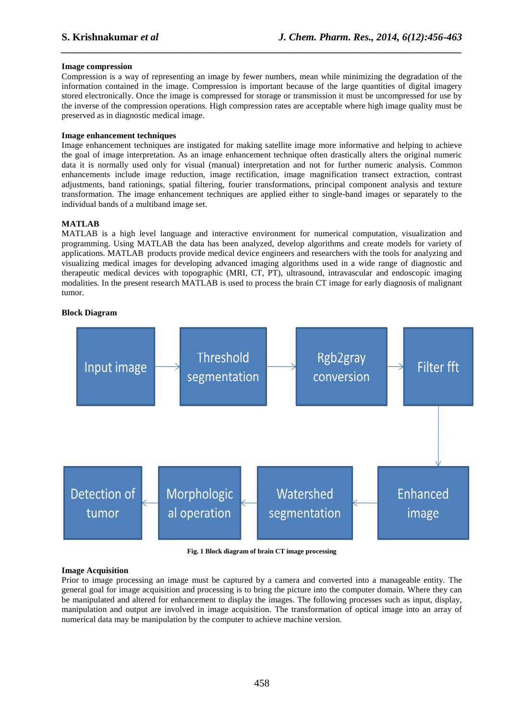#### **Image compression**

Compression is a way of representing an image by fewer numbers, mean while minimizing the degradation of the information contained in the image. Compression is important because of the large quantities of digital imagery stored electronically. Once the image is compressed for storage or transmission it must be uncompressed for use by the inverse of the compression operations. High compression rates are acceptable where high image quality must be preserved as in diagnostic medical image.

*\_\_\_\_\_\_\_\_\_\_\_\_\_\_\_\_\_\_\_\_\_\_\_\_\_\_\_\_\_\_\_\_\_\_\_\_\_\_\_\_\_\_\_\_\_\_\_\_\_\_\_\_\_\_\_\_\_\_\_\_\_\_\_\_\_\_\_\_\_\_\_\_\_\_\_\_\_\_*

## **Image enhancement techniques**

Image enhancement techniques are instigated for making satellite image more informative and helping to achieve the goal of image interpretation. As an image enhancement technique often drastically alters the original numeric data it is normally used only for visual (manual) interpretation and not for further numeric analysis. Common enhancements include image reduction, image rectification, image magnification transect extraction, contrast adjustments, band rationings, spatial filtering, fourier transformations, principal component analysis and texture transformation. The image enhancement techniques are applied either to single-band images or separately to the individual bands of a multiband image set.

## **MATLAB**

MATLAB is a high level language and interactive environment for numerical computation, visualization and programming. Using MATLAB the data has been analyzed, develop algorithms and create models for variety of applications. MATLAB products provide medical device engineers and researchers with the tools for analyzing and visualizing medical images for developing advanced imaging algorithms used in a wide range of diagnostic and therapeutic medical devices with topographic (MRI, CT, PT), ultrasound, intravascular and endoscopic imaging modalities. In the present research MATLAB is used to process the brain CT image for early diagnosis of malignant tumor.

#### **Block Diagram**



**Fig. 1 Block diagram of brain CT image processing** 

#### **Image Acquisition**

Prior to image processing an image must be captured by a camera and converted into a manageable entity. The general goal for image acquisition and processing is to bring the picture into the computer domain. Where they can be manipulated and altered for enhancement to display the images. The following processes such as input, display, manipulation and output are involved in image acquisition. The transformation of optical image into an array of numerical data may be manipulation by the computer to achieve machine version.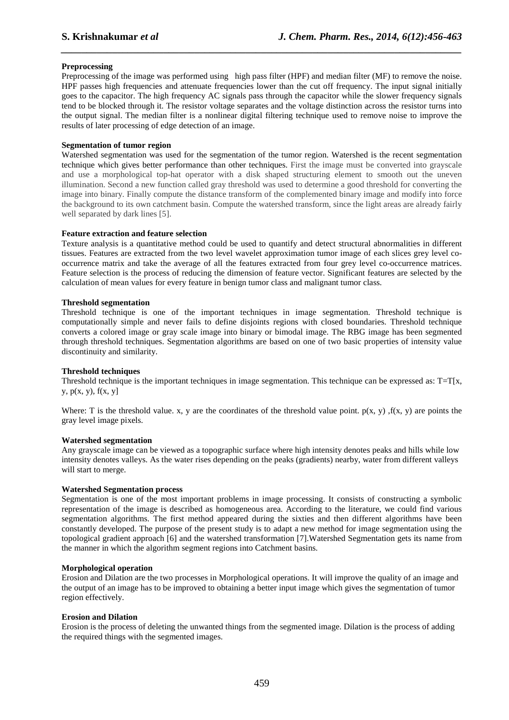## **Preprocessing**

Preprocessing of the image was performed using high pass filter (HPF) and median filter (MF) to remove the noise. HPF passes high frequencies and attenuate frequencies lower than the cut off frequency. The input signal initially goes to the capacitor. The high frequency AC signals pass through the capacitor while the slower frequency signals tend to be blocked through it. The resistor voltage separates and the voltage distinction across the resistor turns into the output signal. The median filter is a nonlinear digital filtering technique used to remove noise to improve the results of later processing of edge detection of an image.

*\_\_\_\_\_\_\_\_\_\_\_\_\_\_\_\_\_\_\_\_\_\_\_\_\_\_\_\_\_\_\_\_\_\_\_\_\_\_\_\_\_\_\_\_\_\_\_\_\_\_\_\_\_\_\_\_\_\_\_\_\_\_\_\_\_\_\_\_\_\_\_\_\_\_\_\_\_\_*

#### **Segmentation of tumor region**

Watershed segmentation was used for the segmentation of the tumor region. Watershed is the recent segmentation technique which gives better performance than other techniques. First the image must be converted into grayscale and use a morphological top-hat operator with a disk shaped structuring element to smooth out the uneven illumination. Second a new function called gray threshold was used to determine a good threshold for converting the image into binary. Finally compute the distance transform of the complemented binary image and modify into force the background to its own catchment basin. Compute the watershed transform, since the light areas are already fairly well separated by dark lines [5].

## **Feature extraction and feature selection**

Texture analysis is a quantitative method could be used to quantify and detect structural abnormalities in different tissues. Features are extracted from the two level wavelet approximation tumor image of each slices grey level cooccurrence matrix and take the average of all the features extracted from four grey level co-occurrence matrices. Feature selection is the process of reducing the dimension of feature vector. Significant features are selected by the calculation of mean values for every feature in benign tumor class and malignant tumor class.

#### **Threshold segmentation**

Threshold technique is one of the important techniques in image segmentation. Threshold technique is computationally simple and never fails to define disjoints regions with closed boundaries. Threshold technique converts a colored image or gray scale image into binary or bimodal image. The RBG image has been segmented through threshold techniques. Segmentation algorithms are based on one of two basic properties of intensity value discontinuity and similarity.

## **Threshold techniques**

Threshold technique is the important techniques in image segmentation. This technique can be expressed as:  $T=T[x,$ y,  $p(x, y)$ ,  $f(x, y)$ 

Where: T is the threshold value. x, y are the coordinates of the threshold value point.  $p(x, y)$ ,  $f(x, y)$  are points the gray level image pixels.

#### **Watershed segmentation**

Any grayscale image can be viewed as a topographic surface where high intensity denotes peaks and hills while low intensity denotes valleys. As the water rises depending on the peaks (gradients) nearby, water from different valleys will start to merge.

#### **Watershed Segmentation process**

Segmentation is one of the most important problems in image processing. It consists of constructing a symbolic representation of the image is described as homogeneous area. According to the literature, we could find various segmentation algorithms. The first method appeared during the sixties and then different algorithms have been constantly developed. The purpose of the present study is to adapt a new method for image segmentation using the topological gradient approach [6] and the watershed transformation [7].Watershed Segmentation gets its name from the manner in which the algorithm segment regions into Catchment basins.

#### **Morphological operation**

Erosion and Dilation are the two processes in Morphological operations. It will improve the quality of an image and the output of an image has to be improved to obtaining a better input image which gives the segmentation of tumor region effectively.

#### **Erosion and Dilation**

Erosion is the process of deleting the unwanted things from the segmented image. Dilation is the process of adding the required things with the segmented images.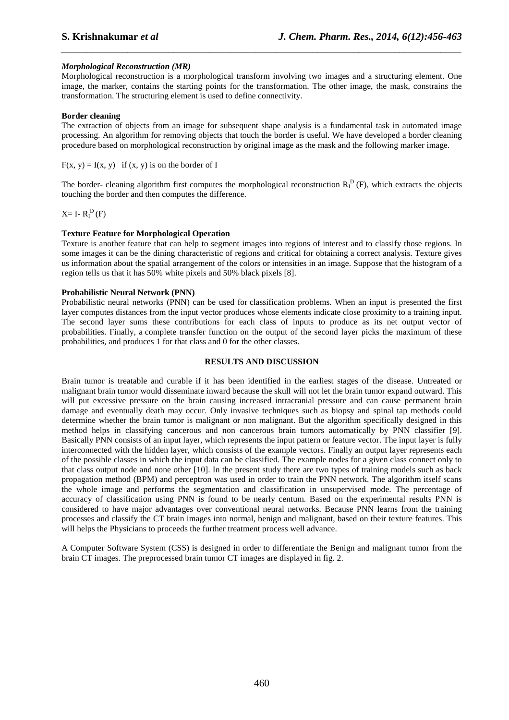## *Morphological Reconstruction (MR)*

Morphological reconstruction is a morphological transform involving two images and a structuring element. One image, the marker, contains the starting points for the transformation. The other image, the mask, constrains the transformation. The structuring element is used to define connectivity.

*\_\_\_\_\_\_\_\_\_\_\_\_\_\_\_\_\_\_\_\_\_\_\_\_\_\_\_\_\_\_\_\_\_\_\_\_\_\_\_\_\_\_\_\_\_\_\_\_\_\_\_\_\_\_\_\_\_\_\_\_\_\_\_\_\_\_\_\_\_\_\_\_\_\_\_\_\_\_*

#### **Border cleaning**

The extraction of objects from an image for subsequent shape analysis is a fundamental task in automated image processing. An algorithm for removing objects that touch the border is useful. We have developed a border cleaning procedure based on morphological reconstruction by original image as the mask and the following marker image.

 $F(x, y) = I(x, y)$  if  $(x, y)$  is on the border of I

The border- cleaning algorithm first computes the morphological reconstruction  $R_I^D(F)$ , which extracts the objects touching the border and then computes the difference.

 $X=$  I-  $R_I^D(F)$ 

#### **Texture Feature for Morphological Operation**

Texture is another feature that can help to segment images into regions of interest and to classify those regions. In some images it can be the dining characteristic of regions and critical for obtaining a correct analysis. Texture gives us information about the spatial arrangement of the colors or intensities in an image. Suppose that the histogram of a region tells us that it has 50% white pixels and 50% black pixels [8].

#### **Probabilistic Neural Network (PNN)**

Probabilistic neural networks (PNN) can be used for classification problems. When an input is presented the first layer computes distances from the input vector produces whose elements indicate close proximity to a training input. The second layer sums these contributions for each class of inputs to produce as its net output vector of probabilities. Finally, a complete transfer function on the output of the second layer picks the maximum of these probabilities, and produces 1 for that class and 0 for the other classes.

#### **RESULTS AND DISCUSSION**

Brain tumor is treatable and curable if it has been identified in the earliest stages of the disease. Untreated or malignant brain tumor would disseminate inward because the skull will not let the brain tumor expand outward. This will put excessive pressure on the brain causing increased intracranial pressure and can cause permanent brain damage and eventually death may occur. Only invasive techniques such as biopsy and spinal tap methods could determine whether the brain tumor is malignant or non malignant. But the algorithm specifically designed in this method helps in classifying cancerous and non cancerous brain tumors automatically by PNN classifier [9]. Basically PNN consists of an input layer, which represents the input pattern or feature vector. The input layer is fully interconnected with the hidden layer, which consists of the example vectors. Finally an output layer represents each of the possible classes in which the input data can be classified. The example nodes for a given class connect only to that class output node and none other [10]. In the present study there are two types of training models such as back propagation method (BPM) and perceptron was used in order to train the PNN network. The algorithm itself scans the whole image and performs the segmentation and classification in unsupervised mode. The percentage of accuracy of classification using PNN is found to be nearly centum. Based on the experimental results PNN is considered to have major advantages over conventional neural networks. Because PNN learns from the training processes and classify the CT brain images into normal, benign and malignant, based on their texture features. This will helps the Physicians to proceeds the further treatment process well advance.

A Computer Software System (CSS) is designed in order to differentiate the Benign and malignant tumor from the brain CT images. The preprocessed brain tumor CT images are displayed in fig. 2.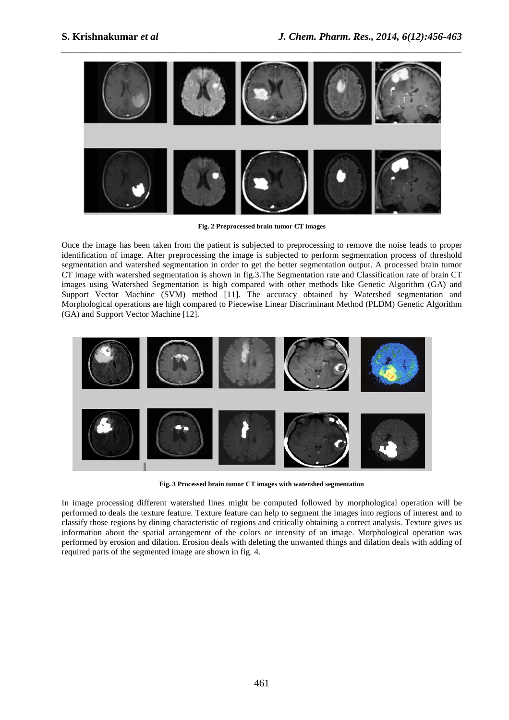

**Fig. 2 Preprocessed brain tumor CT images** 

Once the image has been taken from the patient is subjected to preprocessing to remove the noise leads to proper identification of image. After preprocessing the image is subjected to perform segmentation process of threshold segmentation and watershed segmentation in order to get the better segmentation output. A processed brain tumor CT image with watershed segmentation is shown in fig.3.The Segmentation rate and Classification rate of brain CT images using Watershed Segmentation is high compared with other methods like Genetic Algorithm (GA) and Support Vector Machine (SVM) method [11]. The accuracy obtained by Watershed segmentation and Morphological operations are high compared to Piecewise Linear Discriminant Method (PLDM) Genetic Algorithm (GA) and Support Vector Machine [12].



**Fig. 3 Processed brain tumor CT images with watershed segmentation** 

In image processing different watershed lines might be computed followed by morphological operation will be performed to deals the texture feature. Texture feature can help to segment the images into regions of interest and to classify those regions by dining characteristic of regions and critically obtaining a correct analysis. Texture gives us information about the spatial arrangement of the colors or intensity of an image. Morphological operation was performed by erosion and dilation. Erosion deals with deleting the unwanted things and dilation deals with adding of required parts of the segmented image are shown in fig. 4.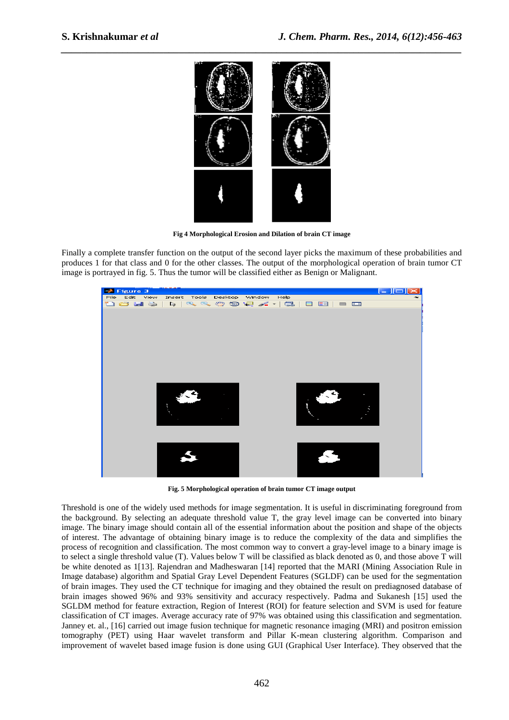

**Fig 4 Morphological Erosion and Dilation of brain CT image** 

Finally a complete transfer function on the output of the second layer picks the maximum of these probabilities and produces 1 for that class and 0 for the other classes. The output of the morphological operation of brain tumor CT image is portrayed in fig. 5. Thus the tumor will be classified either as Benign or Malignant.



**Fig. 5 Morphological operation of brain tumor CT image output** 

Threshold is one of the widely used methods for image segmentation. It is useful in discriminating foreground from the background. By selecting an adequate threshold value T, the gray level image can be converted into binary image. The binary image should contain all of the essential information about the position and shape of the objects of interest. The advantage of obtaining binary image is to reduce the complexity of the data and simplifies the process of recognition and classification. The most common way to convert a gray-level image to a binary image is to select a single threshold value (T). Values below T will be classified as black denoted as 0, and those above T will be white denoted as 1[13]. Rajendran and Madheswaran [14] reported that the MARI (Mining Association Rule in Image database) algorithm and Spatial Gray Level Dependent Features (SGLDF) can be used for the segmentation of brain images. They used the CT technique for imaging and they obtained the result on prediagnosed database of brain images showed 96% and 93% sensitivity and accuracy respectively. Padma and Sukanesh [15] used the SGLDM method for feature extraction, Region of Interest (ROI) for feature selection and SVM is used for feature classification of CT images. Average accuracy rate of 97% was obtained using this classification and segmentation. Janney et. al., [16] carried out image fusion technique for magnetic resonance imaging (MRI) and positron emission tomography (PET) using Haar wavelet transform and Pillar K-mean clustering algorithm. Comparison and improvement of wavelet based image fusion is done using GUI (Graphical User Interface). They observed that the